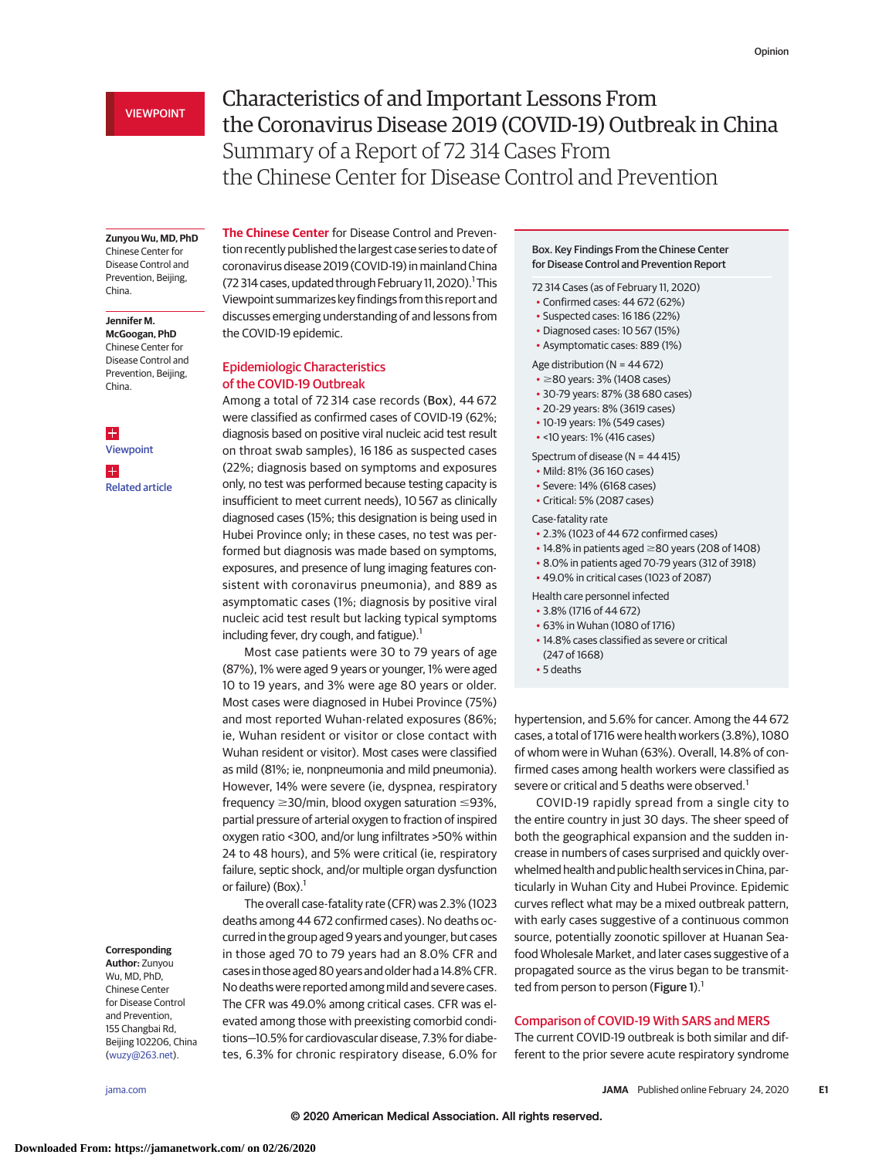# VIEWPOINT

# Characteristics of and Important Lessons From the Coronavirus Disease 2019 (COVID-19) Outbreak in China Summary of a Report of 72 314 Cases From the Chinese Center for Disease Control and Prevention

#### **Zunyou Wu, MD, PhD**

Chinese Center for Disease Control and Prevention, Beijing, China.

# **Jennifer M.**

**McGoogan, PhD** Chinese Center for Disease Control and Prevention, Beijing, China.

 $\pm$ [Viewpoint](https://jamanetwork.com/journals/jama/fullarticle/10.1001/jama.2020.2342?utm_campaign=articlePDF%26utm_medium=articlePDFlink%26utm_source=articlePDF%26utm_content=jama.2020.2648) H [Related article](https://jamanetwork.com/journals/jama/fullarticle/10.1001/jama.2020.2131?utm_campaign=articlePDF%26utm_medium=articlePDFlink%26utm_source=articlePDF%26utm_content=jama.2020.2648)

### **Corresponding**

**Author:** Zunyou Wu, MD, PhD, Chinese Center for Disease Control and Prevention, 155 Changbai Rd, Beijing 102206, China [\(wuzy@263.net\)](mailto:wuzy@263.net).

**The Chinese Center** for Disease Control and Prevention recently published the largest case series to date of coronavirus disease 2019 (COVID-19) in mainland China (72 314 cases, updated through February 11, 2020).<sup>1</sup> This Viewpoint summarizes key findings from this report and discusses emerging understanding of and lessons from the COVID-19 epidemic.

# Epidemiologic Characteristics of the COVID-19 Outbreak

Among a total of 72 314 case records (Box), 44 672 were classified as confirmed cases of COVID-19 (62%; diagnosis based on positive viral nucleic acid test result on throat swab samples), 16 186 as suspected cases (22%; diagnosis based on symptoms and exposures only, no test was performed because testing capacity is insufficient to meet current needs), 10 567 as clinically diagnosed cases (15%; this designation is being used in Hubei Province only; in these cases, no test was performed but diagnosis was made based on symptoms, exposures, and presence of lung imaging features consistent with coronavirus pneumonia), and 889 as asymptomatic cases (1%; diagnosis by positive viral nucleic acid test result but lacking typical symptoms including fever, dry cough, and fatigue). $1$ 

Most case patients were 30 to 79 years of age (87%), 1% were aged 9 years or younger, 1% were aged 10 to 19 years, and 3% were age 80 years or older. Most cases were diagnosed in Hubei Province (75%) and most reported Wuhan-related exposures (86%; ie, Wuhan resident or visitor or close contact with Wuhan resident or visitor). Most cases were classified as mild (81%; ie, nonpneumonia and mild pneumonia). However, 14% were severe (ie, dyspnea, respiratory  $frequency \geq 30/min$ , blood oxygen saturation  $\leq 93\%$ , partial pressure of arterial oxygen to fraction of inspired oxygen ratio <300, and/or lung infiltrates >50% within 24 to 48 hours), and 5% were critical (ie, respiratory failure, septic shock, and/or multiple organ dysfunction or failure) (Box). $<sup>1</sup>$ </sup>

The overall case-fatality rate (CFR) was 2.3% (1023 deaths among 44 672 confirmed cases). No deaths occurred in the group aged 9 years and younger, but cases in those aged 70 to 79 years had an 8.0% CFR and cases in those aged 80 years and older had a 14.8% CFR. No deaths were reported among mild and severe cases. The CFR was 49.0% among critical cases. CFR was elevated among those with preexisting comorbid conditions—10.5% for cardiovascular disease, 7.3% for diabetes, 6.3% for chronic respiratory disease, 6.0% for

## Box. Key Findings From the Chinese Center for Disease Control and Prevention Report

72 314 Cases (as of February 11, 2020)

- Confirmed cases: 44 672 (62%)
- Suspected cases: 16 186 (22%)
- Diagnosed cases: 10 567 (15%)
- Asymptomatic cases: 889 (1%)

Age distribution ( $N = 44672$ )

- $\cdot$   $\geq$ 80 years: 3% (1408 cases)
- 30-79 years: 87% (38 680 cases)
- 20-29 years: 8% (3619 cases)
- 10-19 years: 1% (549 cases)
- <10 years: 1% (416 cases)

Spectrum of disease (N = 44 415)

- Mild: 81% (36 160 cases)
- Severe: 14% (6168 cases)
- Critical: 5% (2087 cases)

Case-fatality rate

- 2.3% (1023 of 44 672 confirmed cases)
- $\cdot$  14.8% in patients aged  $\geq$ 80 years (208 of 1408)
- 8.0% in patients aged 70-79 years (312 of 3918)
- 49.0% in critical cases (1023 of 2087)

Health care personnel infected

- 3.8% (1716 of 44 672)
- 63% in Wuhan (1080 of 1716)
- 14.8% cases classified as severe or critical
- (247 of 1668)
- 5 deaths

hypertension, and 5.6% for cancer. Among the 44 672 cases, a total of 1716 were health workers (3.8%), 1080 of whom were in Wuhan (63%). Overall, 14.8% of confirmed cases among health workers were classified as severe or critical and 5 deaths were observed.<sup>1</sup>

COVID-19 rapidly spread from a single city to the entire country in just 30 days. The sheer speed of both the geographical expansion and the sudden increase in numbers of cases surprised and quickly overwhelmed health and public health services in China, particularly in Wuhan City and Hubei Province. Epidemic curves reflect what may be a mixed outbreak pattern, with early cases suggestive of a continuous common source, potentially zoonotic spillover at Huanan Seafood Wholesale Market, and later cases suggestive of a propagated source as the virus began to be transmitted from person to person (Figure 1).<sup>1</sup>

# Comparison of COVID-19 With SARS and MERS

The current COVID-19 outbreak is both similar and different to the prior severe acute respiratory syndrome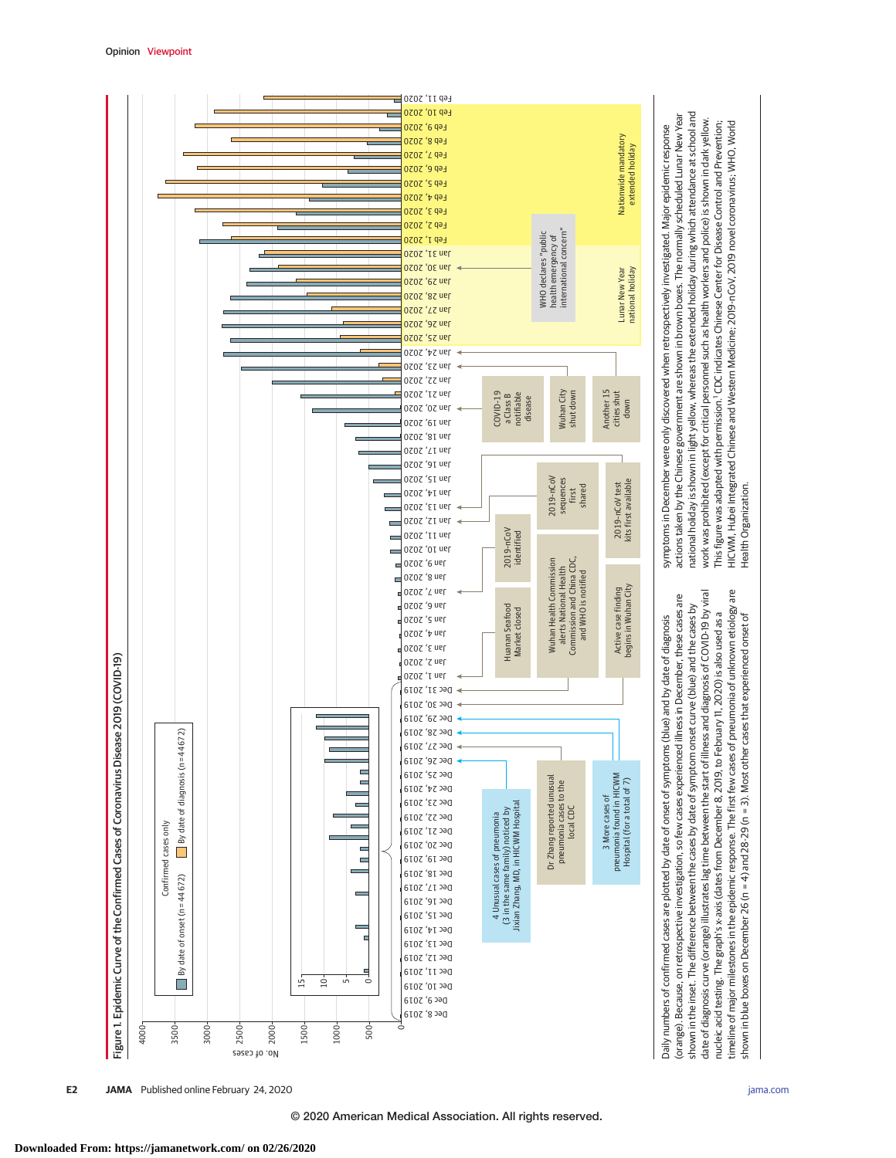

**E2 JAMA** Published online February 24, 2020 **(Reprinted)** [jama.com](http://www.jama.com/?utm_campaign=articlePDF%26utm_medium=articlePDFlink%26utm_source=articlePDF%26utm_content=jama.2020.2648)

shown in blue boxes on December 26 (n = 4) and 28-29 (n = 3). Most other cases that experienced onset of

shown in blue boxes on December 26 (n = 4) and 28-29 (n = 3). Most other cases that experienced onset of

Health Organization.

Health Organization

© 2020 American Medical Association. All rights reserved.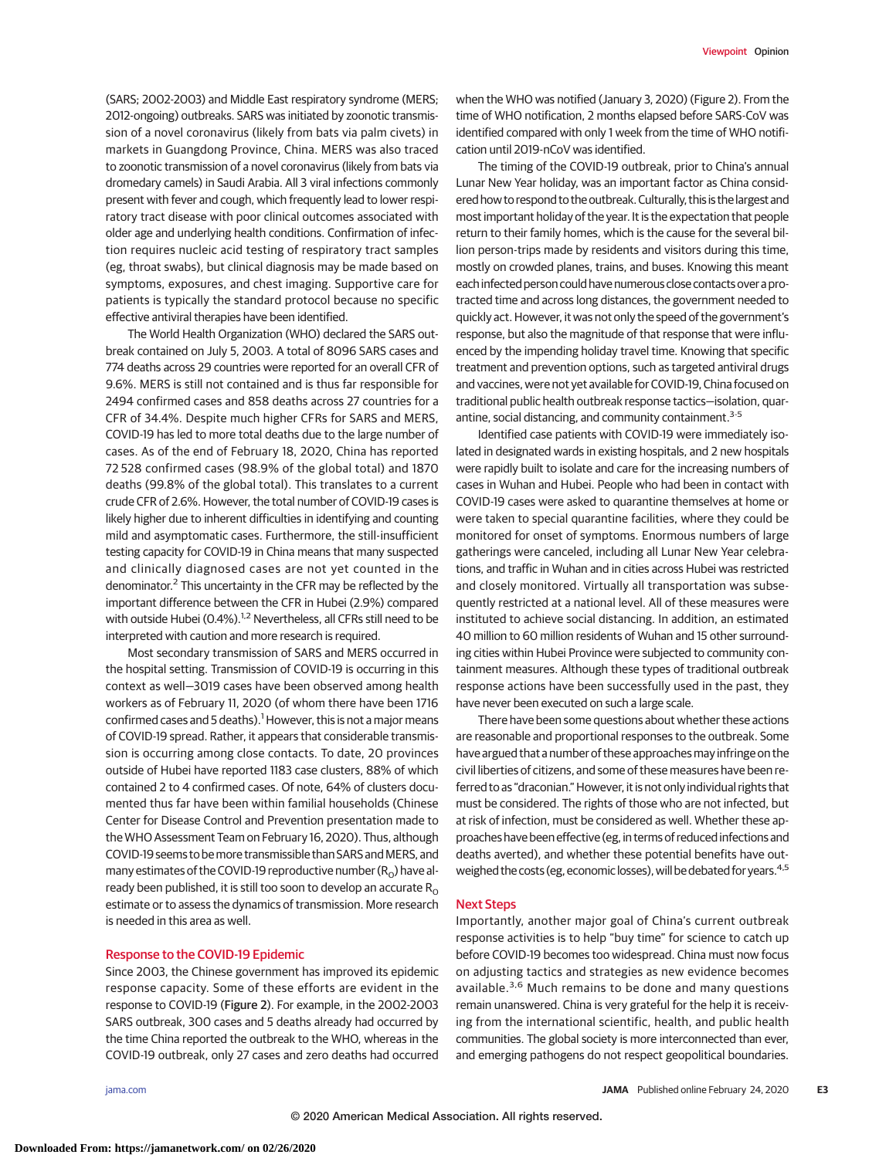(SARS; 2002-2003) and Middle East respiratory syndrome (MERS; 2012-ongoing) outbreaks. SARS was initiated by zoonotic transmission of a novel coronavirus (likely from bats via palm civets) in markets in Guangdong Province, China. MERS was also traced to zoonotic transmission of a novel coronavirus (likely from bats via dromedary camels) in Saudi Arabia. All 3 viral infections commonly present with fever and cough, which frequently lead to lower respiratory tract disease with poor clinical outcomes associated with older age and underlying health conditions. Confirmation of infection requires nucleic acid testing of respiratory tract samples (eg, throat swabs), but clinical diagnosis may be made based on symptoms, exposures, and chest imaging. Supportive care for patients is typically the standard protocol because no specific effective antiviral therapies have been identified.

The World Health Organization (WHO) declared the SARS outbreak contained on July 5, 2003. A total of 8096 SARS cases and 774 deaths across 29 countries were reported for an overall CFR of 9.6%. MERS is still not contained and is thus far responsible for 2494 confirmed cases and 858 deaths across 27 countries for a CFR of 34.4%. Despite much higher CFRs for SARS and MERS, COVID-19 has led to more total deaths due to the large number of cases. As of the end of February 18, 2020, China has reported 72 528 confirmed cases (98.9% of the global total) and 1870 deaths (99.8% of the global total). This translates to a current crude CFR of 2.6%. However, the total number of COVID-19 cases is likely higher due to inherent difficulties in identifying and counting mild and asymptomatic cases. Furthermore, the still-insufficient testing capacity for COVID-19 in China means that many suspected and clinically diagnosed cases are not yet counted in the denominator.2 This uncertainty in the CFR may be reflected by the important difference between the CFR in Hubei (2.9%) compared with outside Hubei (0.4%).<sup>1,2</sup> Nevertheless, all CFRs still need to be interpreted with caution and more research is required.

Most secondary transmission of SARS and MERS occurred in the hospital setting. Transmission of COVID-19 is occurring in this context as well—3019 cases have been observed among health workers as of February 11, 2020 (of whom there have been 1716 confirmed cases and 5 deaths).<sup>1</sup> However, this is not a major means of COVID-19 spread. Rather, it appears that considerable transmission is occurring among close contacts. To date, 20 provinces outside of Hubei have reported 1183 case clusters, 88% of which contained 2 to 4 confirmed cases. Of note, 64% of clusters documented thus far have been within familial households (Chinese Center for Disease Control and Prevention presentation made to the WHO Assessment Team on February 16, 2020). Thus, although COVID-19 seems to be more transmissible than SARS and MERS, and many estimates of the COVID-19 reproductive number  $(R_0)$  have already been published, it is still too soon to develop an accurate  $R_0$ estimate or to assess the dynamics of transmission. More research is needed in this area as well.

# Response to the COVID-19 Epidemic

Since 2003, the Chinese government has improved its epidemic response capacity. Some of these efforts are evident in the response to COVID-19 (Figure 2). For example, in the 2002-2003 SARS outbreak, 300 cases and 5 deaths already had occurred by the time China reported the outbreak to the WHO, whereas in the COVID-19 outbreak, only 27 cases and zero deaths had occurred

when the WHO was notified (January 3, 2020) (Figure 2). From the time of WHO notification, 2 months elapsed before SARS-CoV was identified compared with only 1 week from the time of WHO notification until 2019-nCoV was identified.

The timing of the COVID-19 outbreak, prior to China's annual Lunar New Year holiday, was an important factor as China considered how to respond to the outbreak. Culturally, this is the largest and most important holiday of the year. It is the expectation that people return to their family homes, which is the cause for the several billion person-trips made by residents and visitors during this time, mostly on crowded planes, trains, and buses. Knowing this meant each infected person could have numerous close contacts over a protracted time and across long distances, the government needed to quickly act. However, it was not only the speed of the government's response, but also the magnitude of that response that were influenced by the impending holiday travel time. Knowing that specific treatment and prevention options, such as targeted antiviral drugs and vaccines, were not yet available for COVID-19, China focused on traditional public health outbreak response tactics—isolation, quarantine, social distancing, and community containment.<sup>3-5</sup>

Identified case patients with COVID-19 were immediately isolated in designated wards in existing hospitals, and 2 new hospitals were rapidly built to isolate and care for the increasing numbers of cases in Wuhan and Hubei. People who had been in contact with COVID-19 cases were asked to quarantine themselves at home or were taken to special quarantine facilities, where they could be monitored for onset of symptoms. Enormous numbers of large gatherings were canceled, including all Lunar New Year celebrations, and traffic in Wuhan and in cities across Hubei was restricted and closely monitored. Virtually all transportation was subsequently restricted at a national level. All of these measures were instituted to achieve social distancing. In addition, an estimated 40 million to 60 million residents of Wuhan and 15 other surrounding cities within Hubei Province were subjected to community containment measures. Although these types of traditional outbreak response actions have been successfully used in the past, they have never been executed on such a large scale.

There have been some questions about whether these actions are reasonable and proportional responses to the outbreak. Some have argued that a number of these approaches may infringe on the civil liberties of citizens, and some of these measures have been referred to as "draconian." However, it is not only individual rights that must be considered. The rights of those who are not infected, but at risk of infection, must be considered as well. Whether these approaches have been effective (eg, in terms of reduced infections and deaths averted), and whether these potential benefits have outweighed the costs (eg, economic losses), will be debated for years.<sup>4,5</sup>

#### Next Steps

Importantly, another major goal of China's current outbreak response activities is to help "buy time" for science to catch up before COVID-19 becomes too widespread. China must now focus on adjusting tactics and strategies as new evidence becomes available.<sup>3,6</sup> Much remains to be done and many questions remain unanswered. China is very grateful for the help it is receiving from the international scientific, health, and public health communities. The global society is more interconnected than ever, and emerging pathogens do not respect geopolitical boundaries.